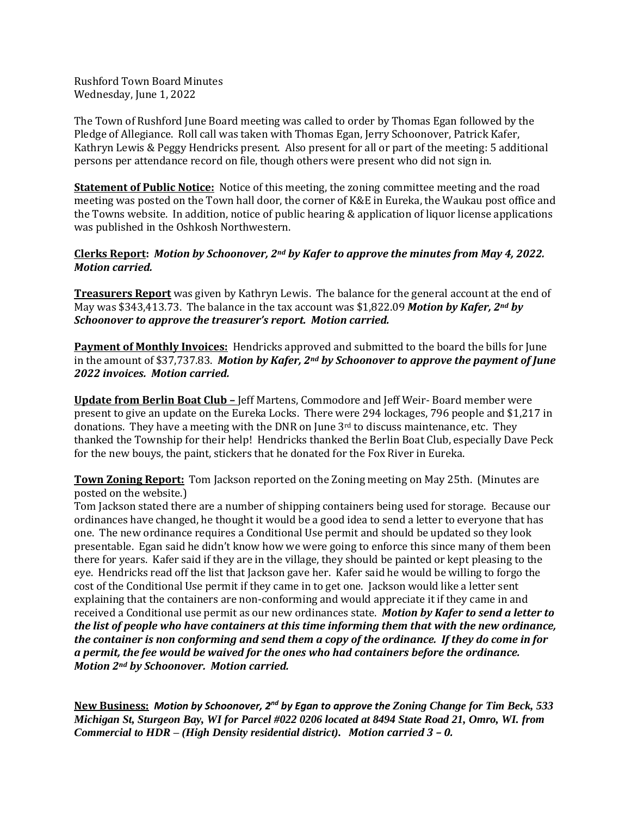Rushford Town Board Minutes Wednesday, June 1, 2022

The Town of Rushford June Board meeting was called to order by Thomas Egan followed by the Pledge of Allegiance. Roll call was taken with Thomas Egan, Jerry Schoonover, Patrick Kafer, Kathryn Lewis & Peggy Hendricks present. Also present for all or part of the meeting: 5 additional persons per attendance record on file, though others were present who did not sign in.

**Statement of Public Notice:** Notice of this meeting, the zoning committee meeting and the road meeting was posted on the Town hall door, the corner of K&E in Eureka, the Waukau post office and the Towns website. In addition, notice of public hearing & application of liquor license applications was published in the Oshkosh Northwestern.

# **Clerks Report:** *Motion by Schoonover, 2nd by Kafer to approve the minutes from May 4, 2022. Motion carried.*

**Treasurers Report** was given by Kathryn Lewis. The balance for the general account at the end of May was \$343,413.73. The balance in the tax account was \$1,822.09 *Motion by Kafer, 2nd by Schoonover to approve the treasurer's report. Motion carried.* 

**Payment of Monthly Invoices:** Hendricks approved and submitted to the board the bills for June in the amount of \$37,737.83. *Motion by Kafer, 2nd by Schoonover to approve the payment of June 2022 invoices. Motion carried.*

**Update from Berlin Boat Club –** Jeff Martens, Commodore and Jeff Weir- Board member were present to give an update on the Eureka Locks. There were 294 lockages, 796 people and \$1,217 in donations. They have a meeting with the DNR on June  $3<sup>rd</sup>$  to discuss maintenance, etc. They thanked the Township for their help! Hendricks thanked the Berlin Boat Club, especially Dave Peck for the new bouys, the paint, stickers that he donated for the Fox River in Eureka.

**Town Zoning Report:** Tom Jackson reported on the Zoning meeting on May 25th. (Minutes are posted on the website.)

Tom Jackson stated there are a number of shipping containers being used for storage. Because our ordinances have changed, he thought it would be a good idea to send a letter to everyone that has one. The new ordinance requires a Conditional Use permit and should be updated so they look presentable. Egan said he didn't know how we were going to enforce this since many of them been there for years. Kafer said if they are in the village, they should be painted or kept pleasing to the eye. Hendricks read off the list that Jackson gave her. Kafer said he would be willing to forgo the cost of the Conditional Use permit if they came in to get one. Jackson would like a letter sent explaining that the containers are non-conforming and would appreciate it if they came in and received a Conditional use permit as our new ordinances state. *Motion by Kafer to send a letter to the list of people who have containers at this time informing them that with the new ordinance, the container is non conforming and send them a copy of the ordinance. If they do come in for a permit, the fee would be waived for the ones who had containers before the ordinance. Motion 2nd by Schoonover. Motion carried.* 

**New Business:** *Motion by Schoonover, 2nd by Egan to approve the Zoning Change for Tim Beck, 533 Michigan St, Sturgeon Bay, WI for Parcel #022 0206 located at 8494 State Road 21, Omro, WI. from Commercial to HDR – (High Density residential district). Motion carried 3 – 0.*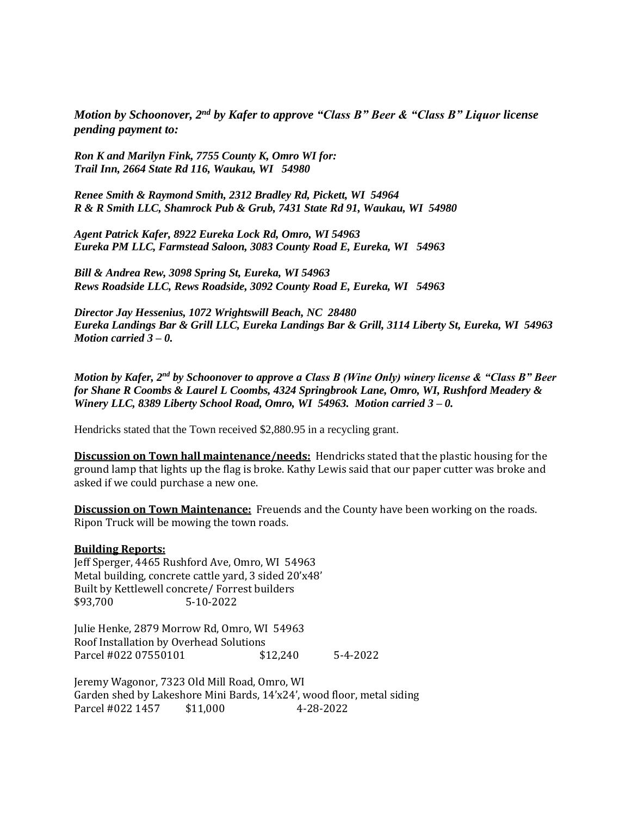*Motion by Schoonover, 2nd by Kafer to approve "Class B" Beer & "Class B" Liquor license pending payment to:*

*Ron K and Marilyn Fink, 7755 County K, Omro WI for: Trail Inn, 2664 State Rd 116, Waukau, WI 54980*

*Renee Smith & Raymond Smith, 2312 Bradley Rd, Pickett, WI 54964 R & R Smith LLC, Shamrock Pub & Grub, 7431 State Rd 91, Waukau, WI 54980*

*Agent Patrick Kafer, 8922 Eureka Lock Rd, Omro, WI 54963 Eureka PM LLC, Farmstead Saloon, 3083 County Road E, Eureka, WI 54963*

*Bill & Andrea Rew, 3098 Spring St, Eureka, WI 54963 Rews Roadside LLC, Rews Roadside, 3092 County Road E, Eureka, WI 54963*

*Director Jay Hessenius, 1072 Wrightswill Beach, NC 28480 Eureka Landings Bar & Grill LLC, Eureka Landings Bar & Grill, 3114 Liberty St, Eureka, WI 54963 Motion carried 3 – 0.*

*Motion by Kafer, 2nd by Schoonover to approve a Class B (Wine Only) winery license & "Class B" Beer for Shane R Coombs & Laurel L Coombs, 4324 Springbrook Lane, Omro, WI, Rushford Meadery & Winery LLC, 8389 Liberty School Road, Omro, WI 54963. Motion carried 3 – 0.*

Hendricks stated that the Town received \$2,880.95 in a recycling grant.

**Discussion on Town hall maintenance/needs:** Hendricks stated that the plastic housing for the ground lamp that lights up the flag is broke. Kathy Lewis said that our paper cutter was broke and asked if we could purchase a new one.

**Discussion on Town Maintenance:** Freuends and the County have been working on the roads. Ripon Truck will be mowing the town roads.

#### **Building Reports:**

Jeff Sperger, 4465 Rushford Ave, Omro, WI 54963 Metal building, concrete cattle yard, 3 sided 20'x48' Built by Kettlewell concrete/ Forrest builders \$93,700 5-10-2022

Julie Henke, 2879 Morrow Rd, Omro, WI 54963 Roof Installation by Overhead Solutions Parcel #022 07550101 \$12,240 5-4-2022

Jeremy Wagonor, 7323 Old Mill Road, Omro, WI Garden shed by Lakeshore Mini Bards, 14'x24', wood floor, metal siding Parcel #022 1457 \$11,000 4-28-2022